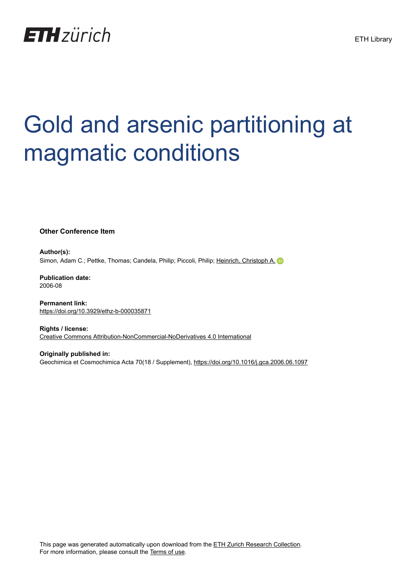

## Gold and arsenic partitioning at magmatic conditions

**Other Conference Item**

**Author(s):** Simon, Adam C.; Pettke, Thomas; Candela, Philip; Piccoli, Philip; [Heinrich, Christoph A.](https://orcid.org/0000-0001-5838-4607)

**Publication date:** 2006-08

**Permanent link:** <https://doi.org/10.3929/ethz-b-000035871>

**Rights / license:** [Creative Commons Attribution-NonCommercial-NoDerivatives 4.0 International](http://creativecommons.org/licenses/by-nc-nd/4.0/)

**Originally published in:** Geochimica et Cosmochimica Acta 70(18 / Supplement), <https://doi.org/10.1016/j.gca.2006.06.1097>